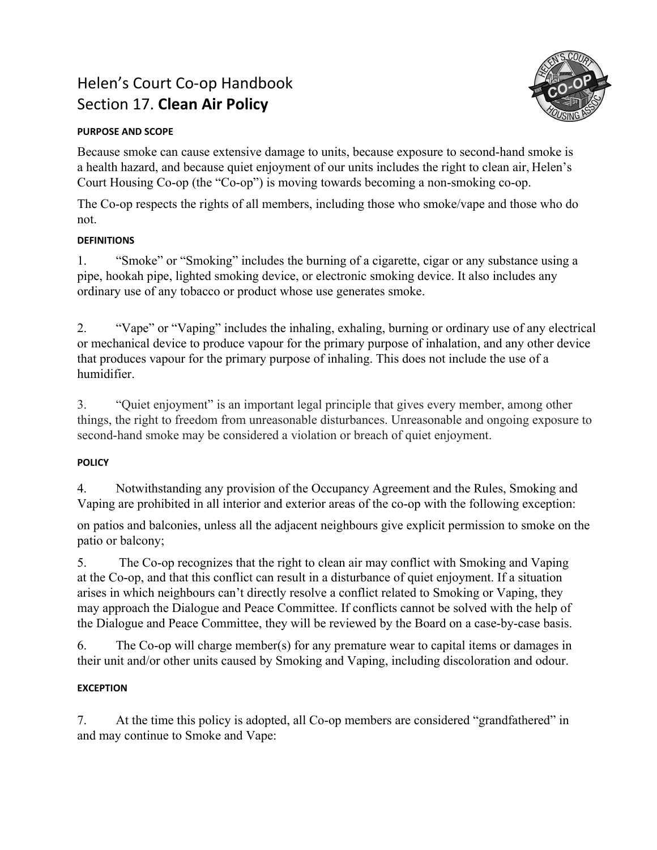# Helen's Court Co-op Handbook Section 17. **Clean Air Policy**



#### **PURPOSE AND SCOPE**

Because smoke can cause extensive damage to units, because exposure to second-hand smoke is a health hazard, and because quiet enjoyment of our units includes the right to clean air, Helen's Court Housing Co-op (the "Co-op") is moving towards becoming a non-smoking co-op.

The Co-op respects the rights of all members, including those who smoke/vape and those who do not.

### **DEFINITIONS**

1. "Smoke" or "Smoking" includes the burning of a cigarette, cigar or any substance using a pipe, hookah pipe, lighted smoking device, or electronic smoking device. It also includes any ordinary use of any tobacco or product whose use generates smoke.

2. "Vape" or "Vaping" includes the inhaling, exhaling, burning or ordinary use of any electrical or mechanical device to produce vapour for the primary purpose of inhalation, and any other device that produces vapour for the primary purpose of inhaling. This does not include the use of a humidifier.

3. "Quiet enjoyment" is an important legal principle that gives every member, among other things, the right to freedom from unreasonable disturbances. Unreasonable and ongoing exposure to second-hand smoke may be considered a violation or breach of quiet enjoyment.

## **POLICY**

4. Notwithstanding any provision of the Occupancy Agreement and the Rules, Smoking and Vaping are prohibited in all interior and exterior areas of the co-op with the following exception:

on patios and balconies, unless all the adjacent neighbours give explicit permission to smoke on the patio or balcony;

5. The Co-op recognizes that the right to clean air may conflict with Smoking and Vaping at the Co-op, and that this conflict can result in a disturbance of quiet enjoyment. If a situation arises in which neighbours can't directly resolve a conflict related to Smoking or Vaping, they may approach the Dialogue and Peace Committee. If conflicts cannot be solved with the help of the Dialogue and Peace Committee, they will be reviewed by the Board on a case-by-case basis.

6. The Co-op will charge member(s) for any premature wear to capital items or damages in their unit and/or other units caused by Smoking and Vaping, including discoloration and odour.

## **EXCEPTION**

7. At the time this policy is adopted, all Co-op members are considered "grandfathered" in and may continue to Smoke and Vape: